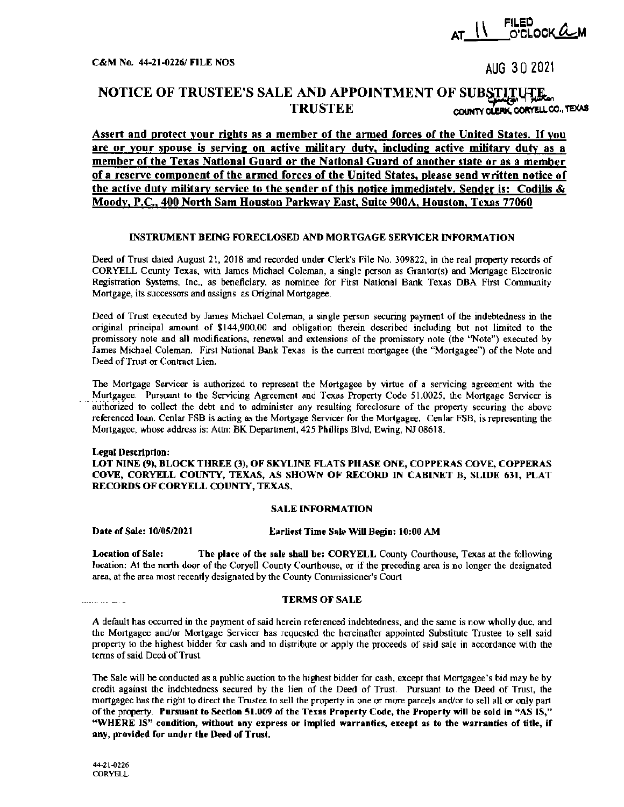

 $C&M$  No. 44-21-0226/ FILE NOS AUG 3 0 2021

# NOTICE OF TRUSTEE'S SALE AND APPOINTMENT OF SUBSTITUTE.<br>TRUSTEE controlers content COUNTY CLERK, CORVELL CO., TEXAS

Assert and protect your rights as a member of the armed forces of the United States. If you are or your spouse is serving on active military duty, including active military duty as a member of the Texas National Guard or the National Guard of another state or as a member of a reserve component of the armed forces of the United States, please send written notice of the active duty military service to the sender of this notice immediately. Sender is: Codilis  $\&$ Moody, P.C., 400 North Sam Houston Parkway East, Suite 900A, Houston, Texas 77060

### INSTRUMENT BEING FORECLOSED AND MORTGAGE SERVICER INFORMATION

Deed of Trust dated August 21, 2018 and recorded under Clerk's File No. 309822, in the real property records of CORYELL County Texas, with James Michael Coleman, a single person as Grantor(s) and Mortgage Electronic Registration Systems, Inc., as beneficiary, as nominee for First National Bank Texas DBA First Community Mortgage, its successors and assigns as Original Mortgagee.

Deed of Trust executed by James Michael Coleman, a single person securing payment of the indebtedness in the original principal amount of \$144,900.00 and obligation therein described including but not limited to the promissory note and all modifications, renewal and extensions of the promissory note (the "Note") executed by James Michael Coleman. First National Bank Texas is the current mortgagee (the "Mortgagee") of the Note and Deed of Trust or Contract Lien.

The Mortgage Servicer is authorized to represent the Mortgagee by virtue of a servicing agreement with the Mortgagee. Pursuant to the Servicing Agreement and Texas Property Code 51.0025, the Mortgage Servicer is authorized to collect the debt and to administer any resulting foreclosure of the property securing the above referenced loan. Cenlar FSB is acting as the Mortgage Servicer for the Mortgagee. Cenlar FSB, is representing the Mortgagee, whose address is: Attn: BK Department, 425 Phillips Blvd, Ewing, NJ 08618.

## Legal Description: LOT NINE (9), BLOCK THREE (3), OF SKYLINE FLATS PHASE ONE, COPPERAS COVE, COPPERAS COVE, CORYELL COUNTY, TEXAS, AS SHOWN OF RECORD IN CABINET B, SLIDE 631, PLAT RECORDS OF CORYELL COUNTY, TEXAS,

#### SALE INFORMATION

## Date of Sale: 10/0S/2021 Earliest Time Sale Will Begin: 10:00 AM

Location of Sale: The place of the sale shall be: CORYELL County Courthouse, Texas at the following location; At the north door of the Coryell County Courthouse, or if the preceding area is no longer the designated area, at the area most recently designated by the County Commissioner's Court

#### TERMS OF SALE

A default has occurred in the payment of said herein referenced indebtedness, and the same is now wholly due, and the Mortgagee and/or Mortgage Servicer has requested the hereinafter appointed Substitute Trustee to sell said property to the highest bidder for cash and to distribute or apply the proceeds of said sale in accordance with the terms of said Deed of Trust.

The Sale will be conducted as a public auction to the highest bidder for cash, except that Mortgagee's bid maybe by credit against the indebtedness secured by the lien of the Deed of Trust. Pursuant to the Deed of Trust, the mortgagee has the right to direct the Trustee to sell the property in one or more parcels and/or to sell all or only part of the property. Pursuant to Section SI.009 of the Texas Property Code, the Property will be sold in "AS IS," "WHERE IS" condition, without any express or implied warranties, except as to the warranties of title, if any, provided for under the Deed of Trust.